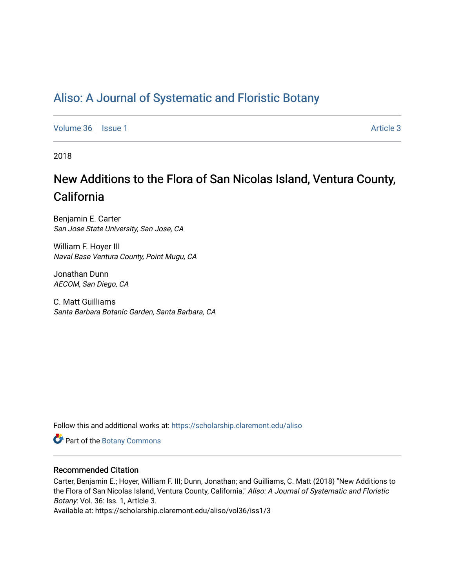# [Aliso: A Journal of Systematic and Floristic Botany](https://scholarship.claremont.edu/aliso)

[Volume 36](https://scholarship.claremont.edu/aliso/vol36) | [Issue 1](https://scholarship.claremont.edu/aliso/vol36/iss1) Article 3

2018

# New Additions to the Flora of San Nicolas Island, Ventura County, California

Benjamin E. Carter San Jose State University, San Jose, CA

William F. Hoyer III Naval Base Ventura County, Point Mugu, CA

Jonathan Dunn AECOM, San Diego, CA

C. Matt Guilliams Santa Barbara Botanic Garden, Santa Barbara, CA

Follow this and additional works at: [https://scholarship.claremont.edu/aliso](https://scholarship.claremont.edu/aliso?utm_source=scholarship.claremont.edu%2Faliso%2Fvol36%2Fiss1%2F3&utm_medium=PDF&utm_campaign=PDFCoverPages) 

Part of the [Botany Commons](https://network.bepress.com/hgg/discipline/104?utm_source=scholarship.claremont.edu%2Faliso%2Fvol36%2Fiss1%2F3&utm_medium=PDF&utm_campaign=PDFCoverPages) 

## Recommended Citation

Carter, Benjamin E.; Hoyer, William F. III; Dunn, Jonathan; and Guilliams, C. Matt (2018) "New Additions to the Flora of San Nicolas Island, Ventura County, California," Aliso: A Journal of Systematic and Floristic Botany: Vol. 36: Iss. 1, Article 3.

Available at: https://scholarship.claremont.edu/aliso/vol36/iss1/3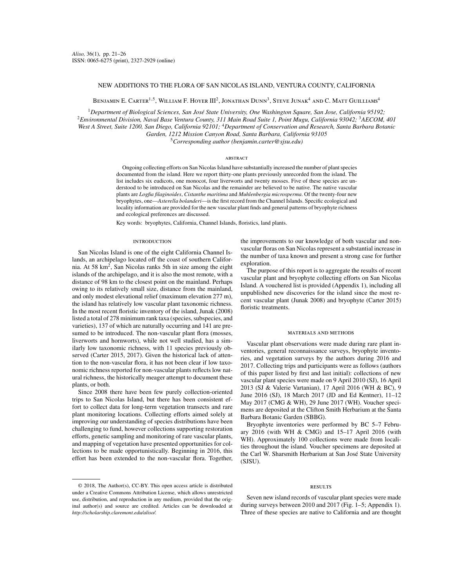### NEW ADDITIONS TO THE FLORA OF SAN NICOLAS ISLAND, VENTURA COUNTY, CALIFORNIA

BENJAMIN E. CARTER<sup>1,5</sup>, WILLIAM F. HOYER III<sup>2</sup>, JONATHAN DUNN<sup>3</sup>, STEVE JUNAK<sup>4</sup> AND C. MATT GUILLIAMS<sup>4</sup>

<sup>1</sup>*Department of Biological Sciences, San José State University, One Washington Square, San Jose, California 95192;* <sup>2</sup>*Environmental Division, Naval Base Ventura County, 311 Main Road Suite 1, Point Mugu, California 93042;* <sup>3</sup>*AECOM, 401 West A Street, Suite 1200, San Diego, California 92101;* <sup>4</sup>*Department of Conservation and Research, Santa Barbara Botanic Garden, 1212 Mission Canyon Road, Santa Barbara, California 93105*

<sup>5</sup>*Corresponding author (benjamin.carter@sjsu.edu)*

#### **ABSTRACT**

Ongoing collecting efforts on San Nicolas Island have substantially increased the number of plant species documented from the island. Here we report thirty-one plants previously unrecorded from the island. The list includes six eudicots, one monocot, four liverworts and twenty mosses. Five of these species are understood to be introduced on San Nicolas and the remainder are believed to be native. The native vascular plants are *Logfia filaginoides*, *Cistanthe maritima* and *Muhlenbergia microsperma*. Of the twenty-four new bryophytes, one—*Asterella bolanderi*—is the first record from the Channel Islands. Specific ecological and locality information are provided for the new vascular plant finds and general patterns of bryophyte richness and ecological preferences are discussed.

Key words: bryophytes, California, Channel Islands, floristics, land plants.

#### **INTRODUCTION**

San Nicolas Island is one of the eight California Channel Islands, an archipelago located off the coast of southern California. At  $58 \text{ km}^2$ , San Nicolas ranks 5th in size among the eight islands of the archipelago, and it is also the most remote, with a distance of 98 km to the closest point on the mainland. Perhaps owing to its relatively small size, distance from the mainland, and only modest elevational relief (maximum elevation 277 m), the island has relatively low vascular plant taxonomic richness. In the most recent floristic inventory of the island, Junak (2008) listed a total of 278 minimum rank taxa (species, subspecies, and varieties), 137 of which are naturally occurring and 141 are presumed to be introduced. The non-vascular plant flora (mosses, liverworts and hornworts), while not well studied, has a similarly low taxonomic richness, with 11 species previously observed (Carter 2015, 2017). Given the historical lack of attention to the non-vascular flora, it has not been clear if low taxonomic richness reported for non-vascular plants reflects low natural richness, the historically meager attempt to document these plants, or both.

Since 2008 there have been few purely collection-oriented trips to San Nicolas Island, but there has been consistent effort to collect data for long-term vegetation transects and rare plant monitoring locations. Collecting efforts aimed solely at improving our understanding of species distributions have been challenging to fund, however collections supporting restoration efforts, genetic sampling and monitoring of rare vascular plants, and mapping of vegetation have presented opportunities for collections to be made opportunistically. Beginning in 2016, this effort has been extended to the non-vascular flora. Together,

the improvements to our knowledge of both vascular and nonvascular floras on San Nicolas represent a substantial increase in the number of taxa known and present a strong case for further exploration.

The purpose of this report is to aggregate the results of recent vascular plant and bryophyte collecting efforts on San Nicolas Island. A vouchered list is provided (Appendix 1), including all unpublished new discoveries for the island since the most recent vascular plant (Junak 2008) and bryophyte (Carter 2015) floristic treatments.

#### materials and methods

Vascular plant observations were made during rare plant inventories, general reconnaissance surveys, bryophyte inventories, and vegetation surveys by the authors during 2016 and 2017. Collecting trips and participants were as follows (authors of this paper listed by first and last initial): collections of new vascular plant species were made on 9 April 2010 (SJ), 16 April 2013 (SJ & Valerie Vartanian), 17 April 2016 (WH & BC), 9 June 2016 (SJ), 18 March 2017 (JD and Ed Kentner), 11–12 May 2017 (CMG & WH), 29 June 2017 (WH). Voucher specimens are deposited at the Clifton Smith Herbarium at the Santa Barbara Botanic Garden (SBBG).

Bryophyte inventories were performed by BC 5–7 February 2016 (with WH & CMG) and 15–17 April 2016 (with WH). Approximately 100 collections were made from localities throughout the island. Voucher specimens are deposited at the Carl W. Sharsmith Herbarium at San José State University (SJSU).

#### **RESULTS**

Seven new island records of vascular plant species were made during surveys between 2010 and 2017 (Fig. 1–5; Appendix 1). Three of these species are native to California and are thought

<sup>© 2018,</sup> The Author(s), CC-BY. This open access article is distributed under a Creative Commons Attribution License, which allows unrestricted use, distribution, and reproduction in any medium, provided that the original author(s) and source are credited. Articles can be downloaded at *http://scholarship.claremont.edu/aliso/.*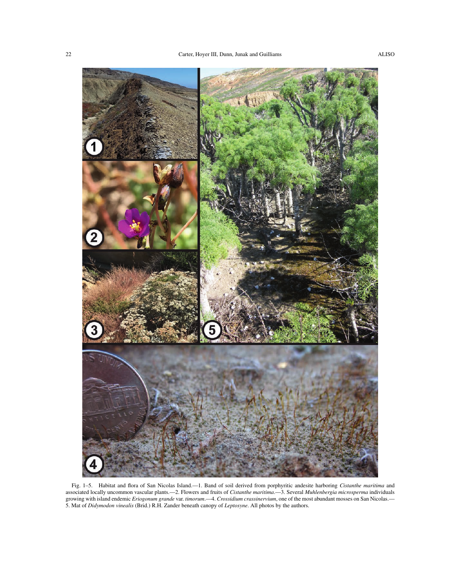

Fig. 1–5. Habitat and flora of San Nicolas Island.—1. Band of soil derived from porphyritic andesite harboring *Cistanthe maritima* and associated locally uncommon vascular plants.—2. Flowers and fruits of *Cistanthe maritima*.—3. Several *Muhlenbergia microsperma* individuals growing with island endemic *Eriogonum grande* var. *timorum*.—4. *Crossidium crassinervium*, one of the most abundant mosses on San Nicolas.— 5. Mat of *Didymodon vinealis* (Brid.) R.H. Zander beneath canopy of *Leptosyne*. All photos by the authors.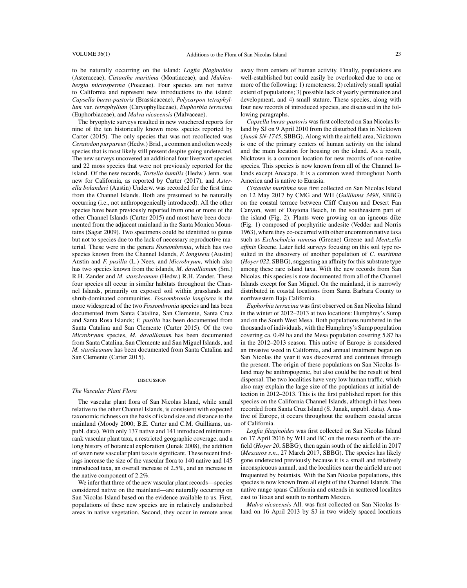to be naturally occurring on the island: *Logfia filaginoides* (Asteraceae), *Cistanthe maritima* (Montiaceae), and *Muhlenbergia microsperma* (Poaceae). Four species are not native to California and represent new introductions to the island: *Capsella bursa-pastoris* (Brassicaceae), *Polycarpon tetraphyllum* var. *tetraphyllum* (Caryophyllaceae), *Euphorbia terracina* (Euphorbiaceae), and *Malva nicaeensis* (Malvaceae).

The bryophyte surveys resulted in new vouchered reports for nine of the ten historically known moss species reported by Carter (2015). The only species that was not recollected was *Ceratodon purpureus*(Hedw.) Brid., a common and often weedy species that is most likely still present despite going undetected. The new surveys uncovered an additional four liverwort species and 22 moss species that were not previously reported for the island. Of the new records, *Tortella humilis* (Hedw.) Jenn. was new for California, as reported by Carter (2017), and *Asterella bolanderi* (Austin) Underw. was recorded for the first time from the Channel Islands. Both are presumed to be naturally occurring (i.e., not anthropogenically introduced). All the other species have been previously reported from one or more of the other Channel Islands (Carter 2015) and most have been documented from the adjacent mainland in the Santa Monica Mountains (Sagar 2009). Two specimens could be identified to genus but not to species due to the lack of necessary reproductive material. These were in the genera *Fossombronia*, which has two species known from the Channel Islands, *F. longiseta* (Austin) Austin and *F. pusilla* (L.) Nees, and *Microbryum*, which also has two species known from the islands, *M. davallianum* (Sm.) R.H. Zander and *M. starckeanum* (Hedw.) R.H. Zander. These four species all occur in similar habitats throughout the Channel Islands, primarily on exposed soil within grasslands and shrub-dominated communities. *Fossombronia longiseta* is the more widespread of the two *Fossombronia* species and has been documented from Santa Catalina, San Clemente, Santa Cruz and Santa Rosa Islands; *F. pusilla* has been documented from Santa Catalina and San Clemente (Carter 2015). Of the two *Microbryum* species, *M. davallianum* has been documented from Santa Catalina, San Clemente and San Miguel Islands, and *M. starckeanum* has been documented from Santa Catalina and San Clemente (Carter 2015).

#### discussion

#### *The Vascular Plant Flora*

The vascular plant flora of San Nicolas Island, while small relative to the other Channel Islands, is consistent with expected taxonomic richness on the basis of island size and distance to the mainland (Moody 2000; B.E. Carter and C.M. Guilliams, unpubl. data). With only 137 native and 141 introduced minimumrank vascular plant taxa, a restricted geographic coverage, and a long history of botanical exploration (Junak 2008), the addition of seven new vascular plant taxa is significant. These recent findings increase the size of the vascular flora to 140 native and 145 introduced taxa, an overall increase of 2.5%, and an increase in the native component of 2.2%.

We infer that three of the new vascular plant records—species considered native on the mainland—are naturally occurring on San Nicolas Island based on the evidence available to us. First, populations of these new species are in relatively undisturbed areas in native vegetation. Second, they occur in remote areas

away from centers of human activity. Finally, populations are well-established but could easily be overlooked due to one or more of the following: 1) remoteness; 2) relatively small spatial extent of populations; 3) possible lack of yearly germination and development; and 4) small stature. These species, along with four new records of introduced species, are discussed in the following paragraphs.

*Capsella bursa-pastoris* was first collected on San Nicolas Island by SJ on 9 April 2010 from the disturbed flats in Nicktown (*Junak SN-1745*, SBBG). Along with the airfield area, Nicktown is one of the primary centers of human activity on the island and the main location for housing on the island. As a result, Nicktown is a common location for new records of non-native species. This species is now known from all of the Channel Islands except Anacapa. It is a common weed throughout North America and is native to Eurasia.

*Cistanthe maritima* was first collected on San Nicolas Island on 12 May 2017 by CMG and WH (*Guilliams 3498*, SBBG) on the coastal terrace between Cliff Canyon and Desert Fan Canyon, west of Daytona Beach, in the southeastern part of the island (Fig. 2). Plants were growing on an igneous dike (Fig. 1) composed of porphyritic andesite (Vedder and Norris 1963), where they co-occurred with other uncommon native taxa such as *Eschscholzia ramosa* (Greene) Greene and *Mentzelia affinis* Greene. Later field surveys focusing on this soil type resulted in the discovery of another population of *C. maritima* (*Hoyer 022*, SBBG), suggesting an affinity for this substrate type among these rare island taxa. With the new records from San Nicolas, this species is now documented from all of the Channel Islands except for San Miguel. On the mainland, it is narrowly distributed in coastal locations from Santa Barbara County to northwestern Baja California.

*Euphorbia terracina* was first observed on San Nicolas Island in the winter of 2012–2013 at two locations: Humphrey's Sump and on the South West Mesa. Both populations numbered in the thousands of individuals, with the Humphrey's Sump population covering ca. 0.49 ha and the Mesa population covering 5.87 ha in the 2012–2013 season. This native of Europe is considered an invasive weed in California, and annual treatment began on San Nicolas the year it was discovered and continues through the present. The origin of these populations on San Nicolas Island may be anthropogenic, but also could be the result of bird dispersal. The two localities have very low human traffic, which also may explain the large size of the populations at initial detection in 2012–2013. This is the first published report for this species on the California Channel Islands, although it has been recorded from Santa Cruz Island (S. Junak, unpubl. data). A native of Europe, it occurs throughout the southern coastal areas of California.

*Logfia filaginoides* was first collected on San Nicolas Island on 17 April 2016 by WH and BC on the mesa north of the airfield (*Hoyer 20*, SBBG), then again south of the airfield in 2017 (*Meszaros s.n.*, 27 March 2017, SBBG). The species has likely gone undetected previously because it is a small and relatively inconspicuous annual, and the localities near the airfield are not frequented by botanists. With the San Nicolas populations, this species is now known from all eight of the Channel Islands. The native range spans California and extends in scattered localites east to Texas and south to northern Mexico.

*Malva nicaeensis* All. was first collected on San Nicolas Island on 16 April 2013 by SJ in two widely spaced locations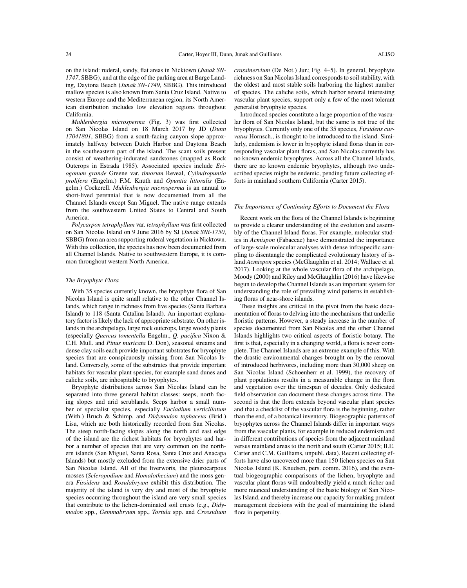on the island: ruderal, sandy, flat areas in Nicktown (*Junak SN-1747*, SBBG), and at the edge of the parking area at Barge Landing, Daytona Beach (*Junak SN-1749*, SBBG). This introduced mallow species is also known from Santa Cruz Island. Native to western Europe and the Mediterranean region, its North American distribution includes low elevation regions throughout California.

*Muhlenbergia microsperma* (Fig. 3) was first collected on San Nicolas Island on 18 March 2017 by JD (*Dunn 17041801*, SBBG) from a south-facing canyon slope approximately halfway between Dutch Harbor and Daytona Beach in the southeastern part of the island. The scant soils present consist of weathering-indurated sandstones (mapped as Rock Outcrops in Estrada 1985). Associated species include *Eriogonum grande* Greene var. *timorum* Reveal, *Cylindropuntia prolifera* (Engelm.) F.M. Knuth and *Opuntia littoralis* (Engelm.) Cockerell. *Muhlenbergia microsperma* is an annual to short-lived perennial that is now documented from all the Channel Islands except San Miguel. The native range extends from the southwestern United States to Central and South America.

*Polycarpon tetraphyllum* var. *tetraphyllum* was first collected on San Nicolas Island on 9 June 2016 by SJ (*Junak SNi-1750*, SBBG) from an area supporting ruderal vegetation in Nicktown. With this collection, the species has now been documented from all Channel Islands. Native to southwestern Europe, it is common throughout western North America.

#### *The Bryophyte Flora*

With 35 species currently known, the bryophyte flora of San Nicolas Island is quite small relative to the other Channel Islands, which range in richness from five species (Santa Barbara Island) to 118 (Santa Catalina Island). An important explanatory factor is likely the lack of appropriate substrate. On other islands in the archipelago, large rock outcrops, large woody plants (especially *Quercus tomentella* Engelm., *Q. pacifica* Nixon & C.H. Mull. and *Pinus muricata* D. Don), seasonal streams and dense clay soils each provide important substrates for bryophyte species that are conspicuously missing from San Nicolas Island. Conversely, some of the substrates that provide important habitats for vascular plant species, for example sand dunes and caliche soils, are inhospitable to bryophytes.

Bryophyte distributions across San Nicolas Island can be separated into three general habitat classes: seeps, north facing slopes and arid scrublands. Seeps harbor a small number of specialist species, especially *Eucladium verticillatum* (With.) Bruch & Schimp. and *Didymodon tophaceus* (Brid.) Lisa, which are both historically recorded from San Nicolas. The steep north-facing slopes along the north and east edge of the island are the richest habitats for bryophytes and harbor a number of species that are very common on the northern islands (San Miguel, Santa Rosa, Santa Cruz and Anacapa Islands) but mostly excluded from the extensive drier parts of San Nicolas Island. All of the liverworts, the pleurocarpous mosses (*Scleropodium* and *Homalothecium*) and the moss genera *Fissidens* and *Rosulabryum* exhibit this distribution. The majority of the island is very dry and most of the bryophyte species occurring throughout the island are very small species that contribute to the lichen-dominated soil crusts (e.g., *Didymodon* spp., *Gemmabryum* spp., *Tortula* spp. and *Crossidium*

*crassinervium* (De Not.) Jur.; Fig. 4–5). In general, bryophyte richness on San Nicolas Island corresponds to soil stability, with the oldest and most stable soils harboring the highest number of species. The caliche soils, which harbor several interesting vascular plant species, support only a few of the most tolerant generalist bryophyte species.

Introduced species constitute a large proportion of the vascular flora of San Nicolas Island, but the same is not true of the bryophytes. Currently only one of the 35 species, *Fissidens curvatus* Hornsch., is thought to be introduced to the island. Similarly, endemism is lower in bryophyte island floras than in corresponding vascular plant floras, and San Nicolas currently has no known endemic bryophytes. Across all the Channel Islands, there are no known endemic bryophytes, although two undescribed species might be endemic, pending future collecting efforts in mainland southern California (Carter 2015).

#### *The Importance of Continuing Efforts to Document the Flora*

Recent work on the flora of the Channel Islands is beginning to provide a clearer understanding of the evolution and assembly of the Channel Island floras. For example, molecular studies in *Acmispon* (Fabaceae) have demonstrated the importance of large-scale molecular analyses with dense infraspecific sampling to disentangle the complicated evolutionary history of island *Acmispon* species (McGlaughlin et al. 2014; Wallace et al. 2017). Looking at the whole vascular flora of the archipelago, Moody (2000) and Riley and McGlaughlin (2016) have likewise begun to develop the Channel Islands as an important system for understanding the role of prevailing wind patterns in establishing floras of near-shore islands.

These insights are critical in the pivot from the basic documentation of floras to delving into the mechanisms that underlie floristic patterns. However, a steady increase in the number of species documented from San Nicolas and the other Channel Islands highlights two critical aspects of floristic botany. The first is that, especially in a changing world, a flora is never complete. The Channel Islands are an extreme example of this. With the drastic environmental changes brought on by the removal of introduced herbivores, including more than 30,000 sheep on San Nicolas Island (Schoenherr et al. 1999), the recovery of plant populations results in a measurable change in the flora and vegetation over the timespan of decades. Only dedicated field observation can document these changes across time. The second is that the flora extends beyond vascular plant species and that a checklist of the vascular flora is the beginning, rather than the end, of a botanical inventory. Biogeographic patterns of bryophytes across the Channel Islands differ in important ways from the vascular plants, for example in reduced endemism and in different contributions of species from the adjacent mainland versus mainland areas to the north and south (Carter 2015; B.E. Carter and C.M. Guilliams, unpubl. data). Recent collecting efforts have also uncovered more than 150 lichen species on San Nicolas Island (K. Knudsen, pers. comm. 2016), and the eventual biogeographic comparisons of the lichen, bryophyte and vascular plant floras will undoubtedly yield a much richer and more nuanced understanding of the basic biology of San Nicolas Island, and thereby increase our capacity for making prudent management decisions with the goal of maintaining the island flora in perpetuity.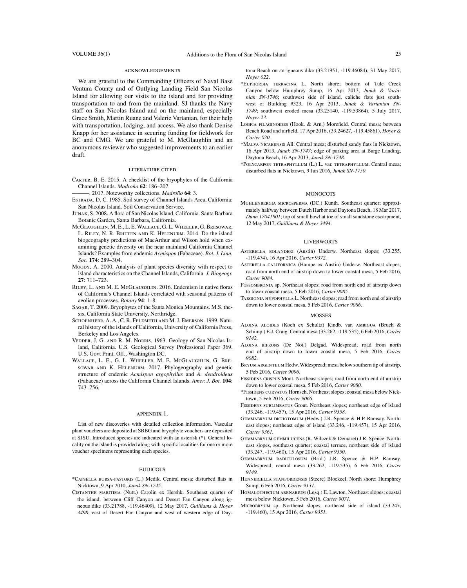#### acknowledgements

We are grateful to the Commanding Officers of Naval Base Ventura County and of Outlying Landing Field San Nicolas Island for allowing our visits to the island and for providing transportation to and from the mainland. SJ thanks the Navy staff on San Nicolas Island and on the mainland, especially Grace Smith, Martin Ruane and Valerie Vartanian, for their help with transportation, lodging, and access. We also thank Denise Knapp for her assistance in securing funding for fieldwork for BC and CMG. We are grateful to M. McGlaughlin and an anonymous reviewer who suggested improvements to an earlier draft.

#### literature cited

Carter, B. E. 2015. A checklist of the bryophytes of the California Channel Islands. *Madroño* **62**: 186–207.

———. 2017. Noteworthy collections. *Madroño* **64**: 3.

- Estrada, D. C. 1985. Soil survey of Channel Islands Area, California: San Nicolas Island. Soil Conservation Service.
- Junak, S. 2008. A flora of San Nicolas Island, California. Santa Barbara Botanic Garden, Santa Barbara, California.
- McGlaughlin, M. E., L. E. Wallace, G. L. Wheeler, G. Bresowar, L. Riley, N. R. Britten and K. Helenurm. 2014. Do the island biogeography predictions of MacArthur and Wilson hold when examining genetic diversity on the near mainland California Channel Islands? Examples from endemic *Acmispon* (Fabaceae). *Bot. J. Linn. Soc.* **174**: 289–304.
- Moody, A. 2000. Analysis of plant species diversity with respect to island characteristics on the Channel Islands, California. *J. Biogeogr.* **27**: 711–723.
- Riley, L. and M. E. McGlaughlin. 2016. Endemism in native floras of California's Channel Islands correlated with seasonal patterns of aeolian processes. *Botany* **94**: 1–8.
- Sagar, T. 2009. Bryophytes of the Santa Monica Mountains. M.S. thesis, California State University, Northridge.
- Schoenherr, A. A., C. R. Feldmeth and M. J. Emerson. 1999. Natural history of the islands of California, University of California Press, Berkeley and Los Angeles.
- Vedder, J. G. and R. M. Norris. 1963. Geology of San Nicolas Island, California. U.S. Geological Survey Professional Paper 369. U.S. Govt Print. Off., Washington DC.
- Wallace, L. E., G. L. Wheeler, M. E. McGlaughlin, G. Bresowar and K. Helenurm. 2017. Phylogeography and genetic structure of endemic *Acmispon argophyllus* and *A. dendroideus* (Fabaceae) across the California Channel Islands. *Amer. J. Bot.* **104**: 743–756.

#### appendix 1.

List of new discoveries with detailed collection information. Vascular plant vouchers are deposited at SBBG and bryophyte vouchers are deposited at SJSU. Introduced species are indicated with an asterisk (\*). General locality on the island is provided along with specific localities for one or more voucher specimens representing each species.

#### EUDICOTS

- \*Capsella bursa-pastoris (L.) Medik. Central mesa; disturbed flats in Nicktown, 9 Apr 2010, *Junak SN-1745.*
- Cistanthe maritima (Nutt.) Carolin ex Hershk. Southeast quarter of the island; between Cliff Canyon and Desert Fan Canyon along igneous dike (33.21788, -119.46409), 12 May 2017, *Guilliams & Hoyer 3498*; east of Desert Fan Canyon and west of western edge of Day-

tona Beach on an igneous dike (33.21951, -119.46084), 31 May 2017, *Hoyer 022*.

\*Euphorbia terracina L. North shore; bottom of Tule Creek Canyon below Humphrey Sump, 16 Apr 2013, *Junak & Vartanian SN-1746*; southwest side of island, caliche flats just southwest of Building #323, 16 Apr 2013, *Junak & Vartanian SN-1749*; southwest eroded mesa (33.25140, -119.53864), 5 July 2017, *Hoyer 23*.

LOGFIA FILAGINOIDES (Hook. & Arn.) Morefield. Central mesa; between Beach Road and airfield, 17 Apr 2016, (33.24627, -119.45861), *Hoyer & Carter 020.*

- \*Malva nicaeensis All. Central mesa; disturbed sandy flats in Nicktown, 16 Apr 2013, *Junak SN-1747*; edge of parking area at Barge Landing, Daytona Beach, 16 Apr 2013, *Junak SN-1748*.
- \*Polycarpon tetraphyllum (L.) L. var. tetraphyllum. Central mesa; disturbed flats in Nicktown, 9 Jun 2016, *Junak SN-1750*.

#### MONOCOTS

Muhlenbergia microsperma (DC.) Kunth. Southeast quarter; approximately halfway between Dutch Harbor and Daytona Beach, 18 Mar 2017, *Dunn 17041801*; top of small bowl at toe of small sandstone escarpment, 12 May 2017, *Guilliams & Hoyer 3494*.

#### **LIVERWORTS**

- Asterella bolanderi (Austin) Underw. Northeast slopes; (33.255, -119.474), 16 Apr 2016, *Carter 9372.*
- Asterella californica (Hampe ex Austin) Underw. Northeast slopes; road from north end of airstrip down to lower coastal mesa, 5 Feb 2016, *Carter 9084.*
- FOSSOMBRONIA sp. Northeast slopes; road from north end of airstrip down to lower coastal mesa, 5 Feb 2016, *Carter 9085.*
- Targionia hypophylla L. Northeast slopes; road from north end of airstrip down to lower coastal mesa, 5 Feb 2016, *Carter 9086*.

#### MOSSES

- Aloina aloides (Koch ex Schultz) Kindb. var. ambigua (Bruch & Schimp.) E.J. Craig. Central mesa (33.262, -119.535), 6 Feb 2016, *Carter 9142.*
- Aloina bifrons (De Not.) Delgad. Widespread; road from north end of airstrip down to lower coastal mesa, 5 Feb 2016, *Carter 9082.*
- Bryum argenteum Hedw. Widespread; mesa below southern tip of airstrip, 5 Feb 2016, *Carter 9096.*
- FISSIDENS CRISPUS Mont. Northeast slopes; road from north end of airstrip down to lower coastal mesa, 5 Feb 2016, *Carter 9080.*
- \*Fissidens curvatus Hornsch. Northeast slopes; coastal mesa below Nicktown, 5 Feb 2016, *Carter 9066.*
- FISSIDENS SUBLIMBATUS Grout. Northeast slopes; northeast edge of island (33.246, -119.457), 15 Apr 2016, *Carter 9358.*
- Gemmabryum dichotomum (Hedw.) J.R. Spence & H.P. Ramsay. Northeast slopes; northeast edge of island (33.246, -119.457), 15 Apr 2016, *Carter 9361.*
- Gemmabryum gemmilucens (R. Wilczek & Demaret) J.R. Spence. Northeast slopes, southeast quarter; coastal terrace, northeast side of island (33.247, -119.460), 15 Apr 2016, *Carter 9350.*
- Gemmabryum radiculosum (Brid.) J.R. Spence & H.P. Ramsay. Widespread; central mesa (33.262, -119.535), 6 Feb 2016, *Carter 9149.*
- Hennediella stanfordensis (Steere) Blockeel. North shore; Humphrey Sump, 6 Feb 2016, *Carter 9131.*
- Homalothecium arenarium (Lesq.) E. Lawton. Northeast slopes; coastal mesa below Nicktown, 5 Feb 2016, *Carter 9071.*
- Microbryum sp. Northeast slopes; northeast side of island (33.247, -119.460), 15 Apr 2016, *Carter 9351.*